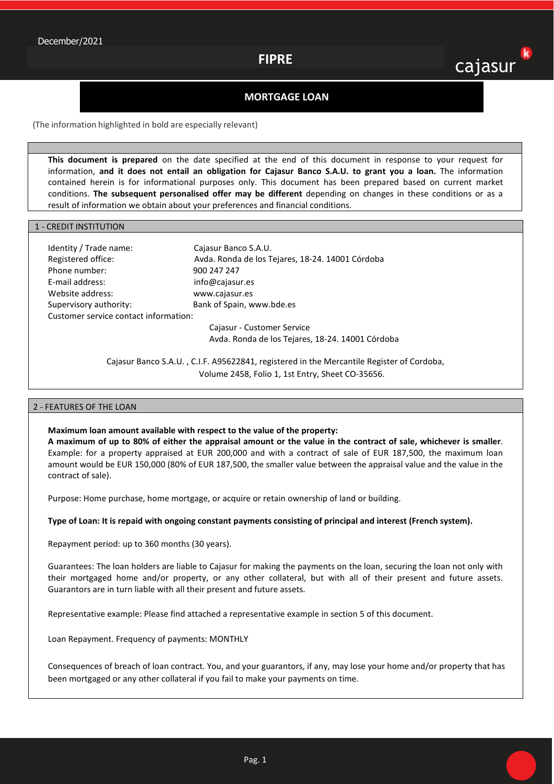## **FIPRE**

# k cajasur

## **MORTGAGE LOAN**

(The information highlighted in bold are especially relevant)

**This document is prepared** on the date specified at the end of this document in response to your request for information, **and it does not entail an obligation for Cajasur Banco S.A.U. to grant you a loan.** The information contained herein is for informational purposes only. This document has been prepared based on current market conditions. **The subsequent personalised offer may be different** depending on changes in these conditions or as a result of information we obtain about your preferences and financial conditions.

#### 1 - CREDIT INSTITUTION

| Identity / Trade name:                | Cajasur Banco S.A.U.                             |  |  |  |
|---------------------------------------|--------------------------------------------------|--|--|--|
| Registered office:                    | Avda. Ronda de los Tejares, 18-24. 14001 Córdoba |  |  |  |
| Phone number:                         | 900 247 247                                      |  |  |  |
| E-mail address:                       | info@cajasur.es                                  |  |  |  |
| Website address:                      | www.cajasur.es                                   |  |  |  |
| Supervisory authority:                | Bank of Spain, www.bde.es                        |  |  |  |
| Customer service contact information: |                                                  |  |  |  |
|                                       | Cajasur - Customer Service                       |  |  |  |
|                                       | Avda. Ronda de los Tejares, 18-24. 14001 Córdoba |  |  |  |

Cajasur Banco S.A.U. , C.I.F. A95622841, registered in the Mercantile Register of Cordoba, Volume 2458, Folio 1, 1st Entry, Sheet CO-35656.

#### 2 - FEATURES OF THE LOAN

#### **Maximum loan amount available with respect to the value of the property:**

**A maximum of up to 80% of either the appraisal amount or the value in the contract of sale, whichever is smaller**. Example: for a property appraised at EUR 200,000 and with a contract of sale of EUR 187,500, the maximum loan amount would be EUR 150,000 (80% of EUR 187,500, the smaller value between the appraisal value and the value in the contract of sale).

Purpose: Home purchase, home mortgage, or acquire or retain ownership of land or building.

#### **Type of Loan: It is repaid with ongoing constant payments consisting of principal and interest (French system).**

Repayment period: up to 360 months (30 years).

Guarantees: The loan holders are liable to Cajasur for making the payments on the loan, securing the loan not only with their mortgaged home and/or property, or any other collateral, but with all of their present and future assets. Guarantors are in turn liable with all their present and future assets.

Representative example: Please find attached a representative example in section 5 of this document.

Loan Repayment. Frequency of payments: MONTHLY

Consequences of breach of loan contract. You, and your guarantors, if any, may lose your home and/or property that has been mortgaged or any other collateral if you fail to make your payments on time.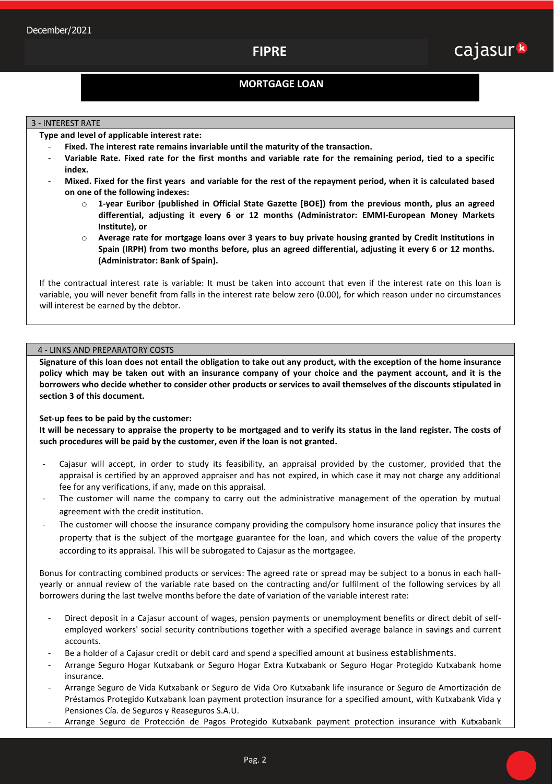## **MORTGAGE LOAN**

#### 3 - INTEREST RATE

**Type and level of applicable interest rate:** 

- Fixed. The interest rate remains invariable until the maturity of the transaction.
- **Variable Rate. Fixed rate for the first months and variable rate for the remaining period, tied to a specific index.**
- **Mixed. Fixed for the first years and variable for the rest of the repayment period, when it is calculated based on one of the following indexes:** 
	- o **1-year Euribor (published in Official State Gazette [BOE]) from the previous month, plus an agreed differential, adjusting it every 6 or 12 months (Administrator: EMMI-European Money Markets Institute), or**
	- o **Average rate for mortgage loans over 3 years to buy private housing granted by Credit Institutions in Spain (IRPH) from two months before, plus an agreed differential, adjusting it every 6 or 12 months. (Administrator: Bank of Spain).**

If the contractual interest rate is variable: It must be taken into account that even if the interest rate on this loan is variable, you will never benefit from falls in the interest rate below zero (0.00), for which reason under no circumstances will interest be earned by the debtor.

## 4 - LINKS AND PREPARATORY COSTS

**Signature of this loan does not entail the obligation to take out any product, with the exception of the home insurance policy which may be taken out with an insurance company of your choice and the payment account, and it is the borrowers who decide whether to consider other products or services to avail themselves of the discounts stipulated in section 3 of this document.** 

## **Set-up fees to be paid by the customer:**

**It will be necessary to appraise the property to be mortgaged and to verify its status in the land register. The costs of such procedures will be paid by the customer, even if the loan is not granted.** 

- Cajasur will accept, in order to study its feasibility, an appraisal provided by the customer, provided that the appraisal is certified by an approved appraiser and has not expired, in which case it may not charge any additional fee for any verifications, if any, made on this appraisal.
- The customer will name the company to carry out the administrative management of the operation by mutual agreement with the credit institution.
- The customer will choose the insurance company providing the compulsory home insurance policy that insures the property that is the subject of the mortgage guarantee for the loan, and which covers the value of the property according to its appraisal. This will be subrogated to Cajasur as the mortgagee.

Bonus for contracting combined products or services: The agreed rate or spread may be subject to a bonus in each halfyearly or annual review of the variable rate based on the contracting and/or fulfilment of the following services by all borrowers during the last twelve months before the date of variation of the variable interest rate:

- Direct deposit in a Cajasur account of wages, pension payments or unemployment benefits or direct debit of selfemployed workers' social security contributions together with a specified average balance in savings and current accounts.
- Be a holder of a Cajasur credit or debit card and spend a specified amount at business establishments.
- Arrange Seguro Hogar Kutxabank or Seguro Hogar Extra Kutxabank or Seguro Hogar Protegido Kutxabank home insurance.
- Arrange Seguro de Vida Kutxabank or Seguro de Vida Oro Kutxabank life insurance or Seguro de Amortización de Préstamos Protegido Kutxabank loan payment protection insurance for a specified amount, with Kutxabank Vida y Pensiones Cía. de Seguros y Reaseguros S.A.U.
- Arrange Seguro de Protección de Pagos Protegido Kutxabank payment protection insurance with Kutxabank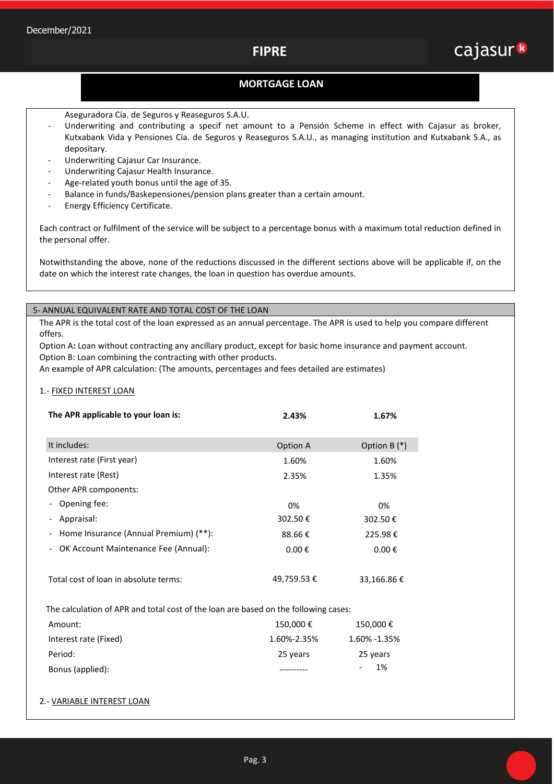## **MORTGAGE LOAN**

- Aseguradora Cía. de Seguros y Reaseguros S.A.U.
- Underwriting and contributing a specif net amount to a Pensión Scheme in effect with Cajasur as broker, Kutxabank Vida y Pensiones Cía. de Seguros y Reaseguros S.A.U., as managing institution and Kutxabank S.A., as depositary.
- Underwriting Cajasur Car Insurance.
- Underwriting Cajasur Health Insurance.
- Age-related youth bonus until the age of 35.
- Balance in funds/Baskepensiones/pension plans greater than a certain amount.
- Energy Efficiency Certificate.

Each contract or fulfilment of the service will be subject to a percentage bonus with a maximum total reduction defined in the personal offer.

Notwithstanding the above, none of the reductions discussed in the different sections above will be applicable if, on the date on which the interest rate changes, the loan in question has overdue amounts.

## 5- ANNUAL EQUIVALENT RATE AND TOTAL COST OF THE LOAN

The APR is the total cost of the loan expressed as an annual percentage. The APR is used to help you compare different offers.

Option A**:** Loan without contracting any ancillary product, except for basic home insurance and payment account. Option B: Loan combining the contracting with other products.

An example of APR calculation: (The amounts, percentages and fees detailed are estimates)

### 1.- FIXED INTEREST LOAN

| The APR applicable to your loan is:     | 2.43%               | 1.67%               |
|-----------------------------------------|---------------------|---------------------|
| It includes:                            | Option A            | Option B $(*)$      |
| Interest rate (First year)              | 1.60%               | 1.60%               |
| Interest rate (Rest)                    | 2.35%               | 1.35%               |
| Other APR components:                   |                     |                     |
| - Opening fee:                          | 0%                  | 0%                  |
| - Appraisal:                            | 302.50€             | 302.50€             |
| - Home Insurance (Annual Premium) (**): | 88.66€              | 225.98€             |
| - OK Account Maintenance Fee (Annual):  | $0.00 \text{ } \in$ | $0.00 \text{ } \in$ |
|                                         |                     |                     |
| Total cost of loan in absolute terms:   | 49,759.53 €         | 33,166.86€          |

The calculation of APR and total cost of the loan are based on the following cases:

| Amount:               | 150.000€    | 150,000€     |
|-----------------------|-------------|--------------|
| Interest rate (Fixed) | 1.60%-2.35% | 1.60% -1.35% |
| Period:               | 25 years    | 25 years     |
| Bonus (applied):      |             | - 1%         |

## 2.- VARIABLE INTEREST LOAN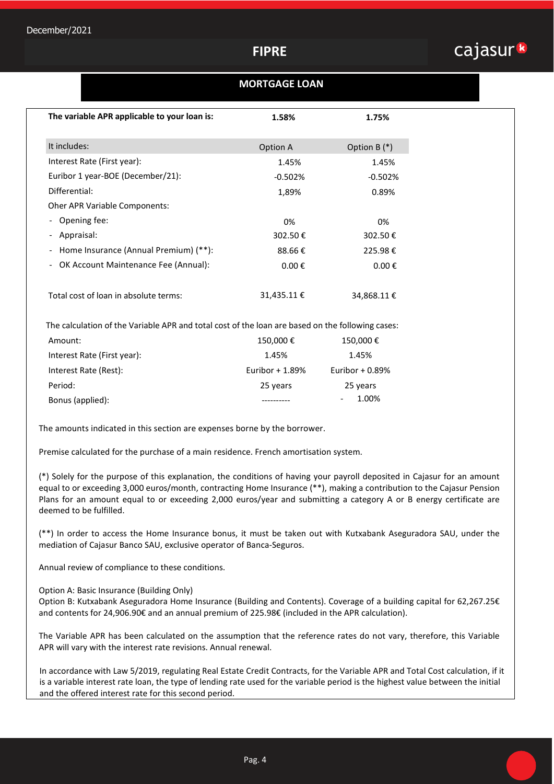# **FIPRE**



## **MORTGAGE LOAN**

| The variable APR applicable to your loan is:                                                     | 1.58%               | 1.75%               |  |  |
|--------------------------------------------------------------------------------------------------|---------------------|---------------------|--|--|
|                                                                                                  |                     |                     |  |  |
| It includes:                                                                                     | Option A            | Option B $(*)$      |  |  |
| Interest Rate (First year):                                                                      | 1.45%               | 1.45%               |  |  |
| Euribor 1 year-BOE (December/21):                                                                | $-0.502%$           | $-0.502%$           |  |  |
| Differential:                                                                                    | 1,89%               | 0.89%               |  |  |
| <b>Oher APR Variable Components:</b>                                                             |                     |                     |  |  |
| Opening fee:<br>$\overline{\phantom{a}}$                                                         | 0%                  | 0%                  |  |  |
| Appraisal:<br>$\overline{\phantom{a}}$                                                           | 302.50€             | 302.50€             |  |  |
| Home Insurance (Annual Premium) (**):<br>$\overline{\phantom{a}}$                                | 88.66€              | 225.98€             |  |  |
| OK Account Maintenance Fee (Annual):<br>-                                                        | $0.00 \text{ } \in$ | $0.00 \text{ } \in$ |  |  |
|                                                                                                  |                     |                     |  |  |
| Total cost of loan in absolute terms:                                                            | 31,435.11 €         | 34,868.11 €         |  |  |
|                                                                                                  |                     |                     |  |  |
| The calculation of the Variable APR and total cost of the loan are based on the following cases: |                     |                     |  |  |
| Amount:                                                                                          | 150,000€            | 150,000€            |  |  |
|                                                                                                  |                     |                     |  |  |

| Interest Rate (First year): | 1.45%            | 1.45%              |
|-----------------------------|------------------|--------------------|
| Interest Rate (Rest):       | Euribor $+1.89%$ | Euribor + $0.89\%$ |
| Period:                     | 25 years         | 25 years           |
| Bonus (applied):            |                  | 1.00%              |

The amounts indicated in this section are expenses borne by the borrower.

Premise calculated for the purchase of a main residence. French amortisation system.

(\*) Solely for the purpose of this explanation, the conditions of having your payroll deposited in Cajasur for an amount equal to or exceeding 3,000 euros/month, contracting Home Insurance (\*\*), making a contribution to the Cajasur Pension Plans for an amount equal to or exceeding 2,000 euros/year and submitting a category A or B energy certificate are deemed to be fulfilled.

(\*\*) In order to access the Home Insurance bonus, it must be taken out with Kutxabank Aseguradora SAU, under the mediation of Cajasur Banco SAU, exclusive operator of Banca-Seguros.

Annual review of compliance to these conditions.

Option A: Basic Insurance (Building Only)

Option B: Kutxabank Aseguradora Home Insurance (Building and Contents). Coverage of a building capital for 62,267.25€ and contents for 24,906.90€ and an annual premium of 225.98€ (included in the APR calculation).

The Variable APR has been calculated on the assumption that the reference rates do not vary, therefore, this Variable APR will vary with the interest rate revisions. Annual renewal.

In accordance with Law 5/2019, regulating Real Estate Credit Contracts, for the Variable APR and Total Cost calculation, if it is a variable interest rate loan, the type of lending rate used for the variable period is the highest value between the initial and the offered interest rate for this second period.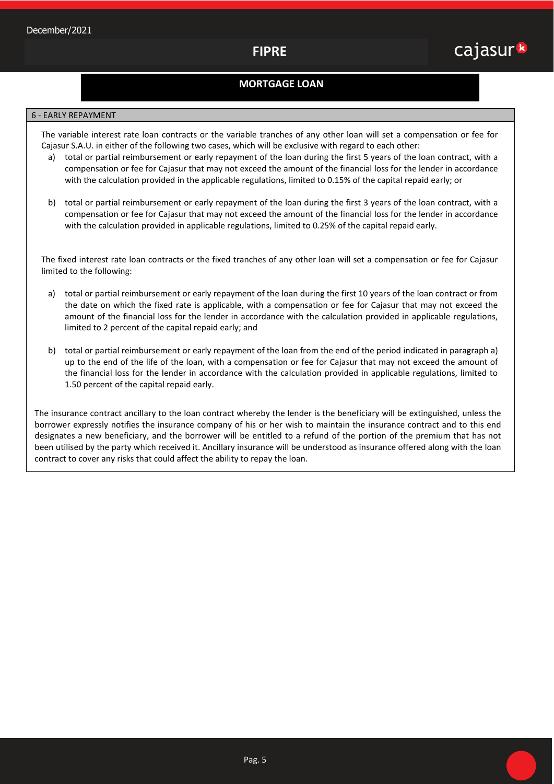## **MORTGAGE LOAN**

#### 6 - EARLY REPAYMENT

The variable interest rate loan contracts or the variable tranches of any other loan will set a compensation or fee for Cajasur S.A.U. in either of the following two cases, which will be exclusive with regard to each other:

- a) total or partial reimbursement or early repayment of the loan during the first 5 years of the loan contract, with a compensation or fee for Cajasur that may not exceed the amount of the financial loss for the lender in accordance with the calculation provided in the applicable regulations, limited to 0.15% of the capital repaid early; or
- b) total or partial reimbursement or early repayment of the loan during the first 3 years of the loan contract, with a compensation or fee for Cajasur that may not exceed the amount of the financial loss for the lender in accordance with the calculation provided in applicable regulations, limited to 0.25% of the capital repaid early.

The fixed interest rate loan contracts or the fixed tranches of any other loan will set a compensation or fee for Cajasur limited to the following:

- a) total or partial reimbursement or early repayment of the loan during the first 10 years of the loan contract or from the date on which the fixed rate is applicable, with a compensation or fee for Cajasur that may not exceed the amount of the financial loss for the lender in accordance with the calculation provided in applicable regulations, limited to 2 percent of the capital repaid early; and
- b) total or partial reimbursement or early repayment of the loan from the end of the period indicated in paragraph a) up to the end of the life of the loan, with a compensation or fee for Cajasur that may not exceed the amount of the financial loss for the lender in accordance with the calculation provided in applicable regulations, limited to 1.50 percent of the capital repaid early.

The insurance contract ancillary to the loan contract whereby the lender is the beneficiary will be extinguished, unless the borrower expressly notifies the insurance company of his or her wish to maintain the insurance contract and to this end designates a new beneficiary, and the borrower will be entitled to a refund of the portion of the premium that has not been utilised by the party which received it. Ancillary insurance will be understood as insurance offered along with the loan contract to cover any risks that could affect the ability to repay the loan.